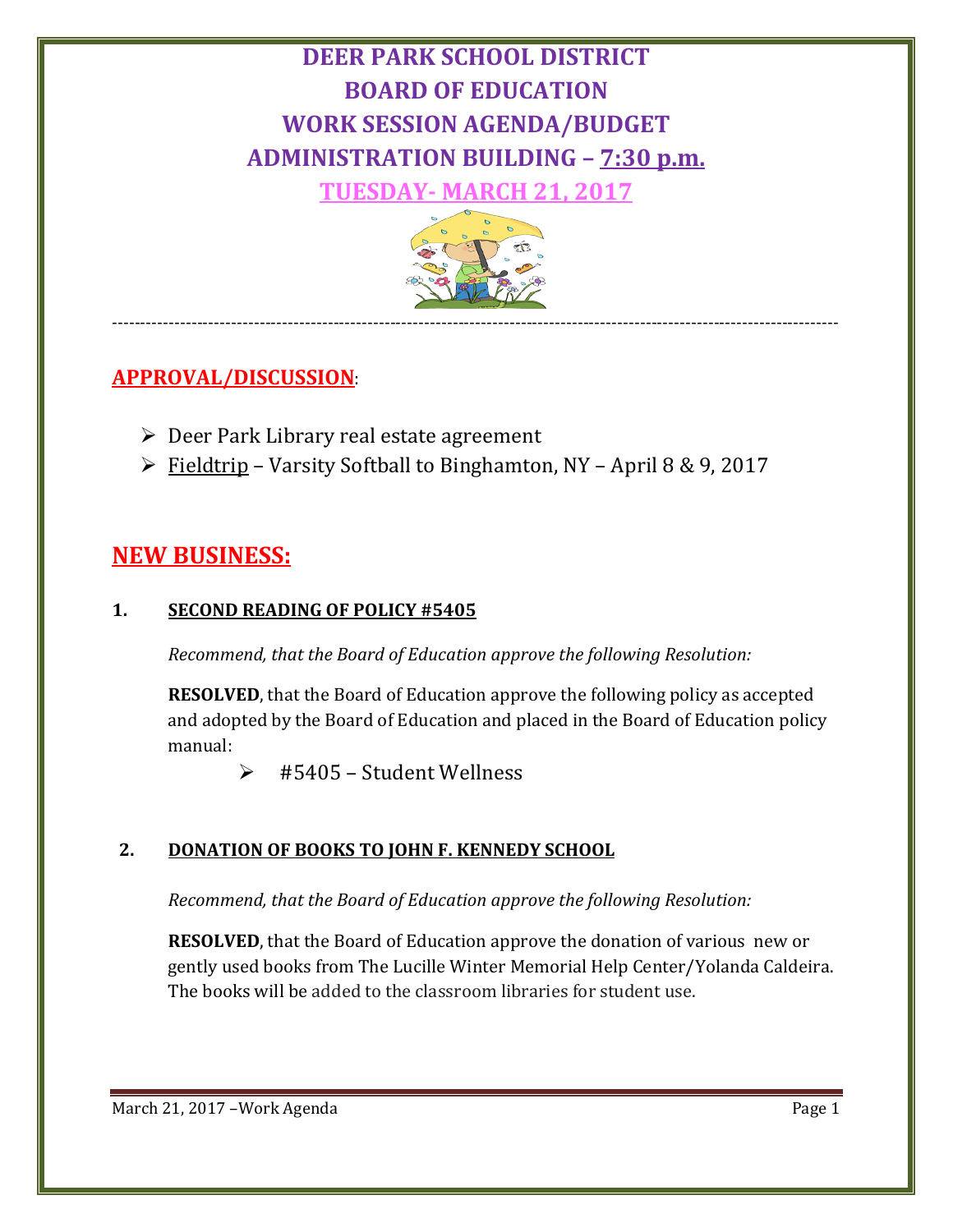# **DEER PARK SCHOOL DISTRICT BOARD OF EDUCATION WORK SESSION AGENDA/BUDGET ADMINISTRATION BUILDING – 7:30 p.m.**

**TUESDAY- MARCH 21, 2017**



--------------------------------------------------------------------------------------------------------------------------------

## **APPROVAL/DISCUSSION**:

- $\triangleright$  Deer Park Library real estate agreement
- $\triangleright$  Fieldtrip Varsity Softball to Binghamton, NY April 8 & 9, 2017

# **NEW BUSINESS:**

#### **1. SECOND READING OF POLICY #5405**

*Recommend, that the Board of Education approve the following Resolution:*

**RESOLVED**, that the Board of Education approve the following policy as accepted and adopted by the Board of Education and placed in the Board of Education policy manual:

 $\geq$  #5405 – Student Wellness

#### **2. DONATION OF BOOKS TO JOHN F. KENNEDY SCHOOL**

*Recommend, that the Board of Education approve the following Resolution:*

**RESOLVED**, that the Board of Education approve the donation of various new or gently used books from The Lucille Winter Memorial Help Center/Yolanda Caldeira. The books will be added to the classroom libraries for student use.